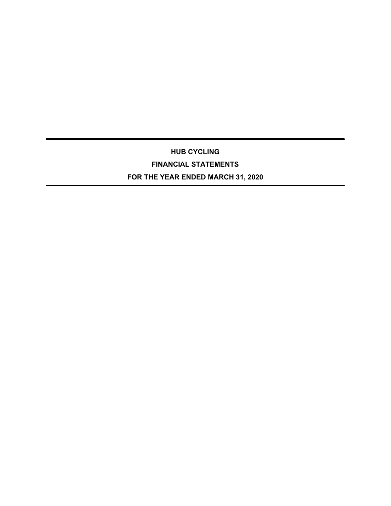# **HUB CYCLING FINANCIAL STATEMENTS FOR THE YEAR ENDED MARCH 31, 2020**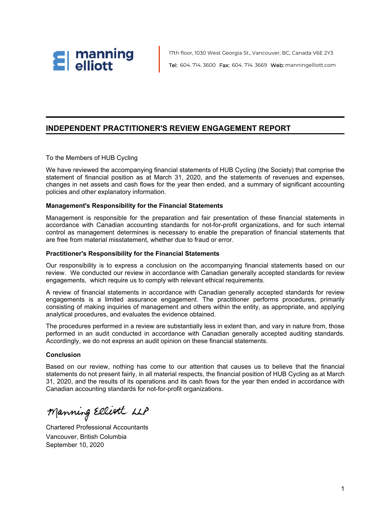

17th floor, 1030 West Georgia St., Vancouver, BC, Canada V6E 2Y3 Tel: 604. 714. 3600 Fax: 604. 714. 3669 Web: manningelliott.com

## **INDEPENDENT PRACTITIONER'S REVIEW ENGAGEMENT REPORT**

## To the Members of HUB Cycling

We have reviewed the accompanying financial statements of HUB Cycling (the Society) that comprise the statement of financial position as at March 31, 2020, and the statements of revenues and expenses, changes in net assets and cash flows for the year then ended, and a summary of significant accounting policies and other explanatory information.

### **Management's Responsibility for the Financial Statements**

Management is responsible for the preparation and fair presentation of these financial statements in accordance with Canadian accounting standards for not-for-profit organizations, and for such internal control as management determines is necessary to enable the preparation of financial statements that are free from material misstatement, whether due to fraud or error.

#### **Practitioner's Responsibility for the Financial Statements**

Our responsibility is to express a conclusion on the accompanying financial statements based on our review. We conducted our review in accordance with Canadian generally accepted standards for review engagements, which require us to comply with relevant ethical requirements.

A review of financial statements in accordance with Canadian generally accepted standards for review engagements is a limited assurance engagement. The practitioner performs procedures, primarily consisting of making inquiries of management and others within the entity, as appropriate, and applying analytical procedures, and evaluates the evidence obtained.

The procedures performed in a review are substantially less in extent than, and vary in nature from, those performed in an audit conducted in accordance with Canadian generally accepted auditing standards. Accordingly, we do not express an audit opinion on these financial statements.

### **Conclusion**

Based on our review, nothing has come to our attention that causes us to believe that the financial statements do not present fairly, in all material respects, the financial position of HUB Cycling as at March 31, 2020, and the results of its operations and its cash flows for the year then ended in accordance with Canadian accounting standards for not-for-profit organizations.

Manning Elliott LLP

Chartered Professional Accountants Vancouver, British Columbia September 10, 2020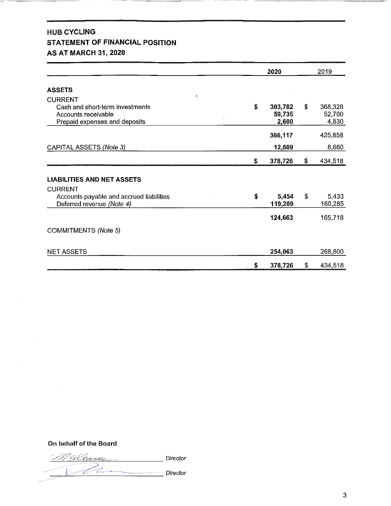# **HUB CYCLING STATEMENT OF FINANCIAL POSITION**

**AS AT MARCH 31, 2020** 

|                                                                       | 2020                   |    | 2019             |  |
|-----------------------------------------------------------------------|------------------------|----|------------------|--|
| <b>ASSETS</b>                                                         |                        |    |                  |  |
| <b>CURRENT</b>                                                        |                        |    |                  |  |
| Cash and short-term investments                                       | \$<br>303,782          | \$ | 368,328          |  |
| Accounts receivable<br>Prepaid expenses and deposits                  | 59,735<br>2,600        |    | 52,700<br>4,830  |  |
|                                                                       | 366,117                |    | 425,858          |  |
| CAPITAL ASSETS (Note 3)                                               | 12,609                 |    | 8,660            |  |
|                                                                       | \$<br>378,726          | \$ | 434,518          |  |
|                                                                       |                        |    |                  |  |
| <b>LIABILITIES AND NET ASSETS</b>                                     |                        |    |                  |  |
| <b>CURRENT</b>                                                        |                        |    |                  |  |
| Accounts payable and accrued liabilities<br>Deferred revenue (Note 4) | \$<br>5,454<br>119,209 | \$ | 5,433<br>160,285 |  |
|                                                                       | 124,663                |    | 165,718          |  |
| COMMITMENTS (Note 5)                                                  |                        |    |                  |  |
| <b>NET ASSETS</b>                                                     | 254,063                |    | 268,800          |  |
|                                                                       | \$<br>378,726          | \$ | 434,518          |  |

On behalf of the Board

Malerine Director De Director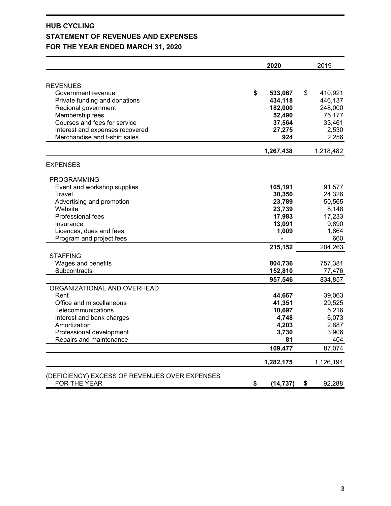# **HUB CYCLING STATEMENT OF REVENUES AND EXPENSES FOR THE YEAR ENDED MARCH 31, 2020**

|                                                     | 2020               | 2019                     |
|-----------------------------------------------------|--------------------|--------------------------|
|                                                     |                    |                          |
| <b>REVENUES</b>                                     | \$                 |                          |
| Government revenue<br>Private funding and donations | 533,067<br>434,118 | \$<br>410,921<br>446,137 |
| Regional government                                 | 182,000            | 248,000                  |
| Membership fees                                     | 52,490             | 75,177                   |
| Courses and fees for service                        | 37,564             | 33,461                   |
| Interest and expenses recovered                     | 27,275             | 2,530                    |
| Merchandise and t-shirt sales                       | 924                | 2,256                    |
|                                                     | 1,267,438          | 1,218,482                |
| <b>EXPENSES</b>                                     |                    |                          |
| PROGRAMMING                                         |                    |                          |
| Event and workshop supplies                         | 105,191            | 91,577                   |
| Travel                                              | 30,350             | 24,326                   |
| Advertising and promotion                           | 23,789             | 50,565                   |
| Website                                             | 23,739             | 8,148                    |
| Professional fees                                   | 17,983             | 17,233                   |
| Insurance                                           | 13,091             | 9,890                    |
| Licences, dues and fees                             | 1,009              | 1,864                    |
| Program and project fees                            |                    | 660                      |
|                                                     | 215,152            | 204,263                  |
| <b>STAFFING</b>                                     |                    |                          |
| Wages and benefits                                  | 804,736            | 757,381                  |
| Subcontracts                                        | 152,810            | 77,476                   |
|                                                     | 957,546            | 834,857                  |
| ORGANIZATIONAL AND OVERHEAD                         |                    |                          |
| Rent                                                | 44,667             | 39,063                   |
| Office and miscellaneous                            | 41,351             | 29,525                   |
| Telecommunications                                  | 10,697             | 5,216                    |
| Interest and bank charges                           | 4,748              | 6,073                    |
| Amortization                                        | 4,203              | 2,887                    |
| Professional development                            | 3,730              | 3,906                    |
| Repairs and maintenance                             | 81                 | 404                      |
|                                                     | 109,477            | 87,074                   |
|                                                     | 1,282,175          | 1,126,194                |
| (DEFICIENCY) EXCESS OF REVENUES OVER EXPENSES       |                    |                          |
| FOR THE YEAR                                        | \$<br>(14, 737)    | \$<br>92,288             |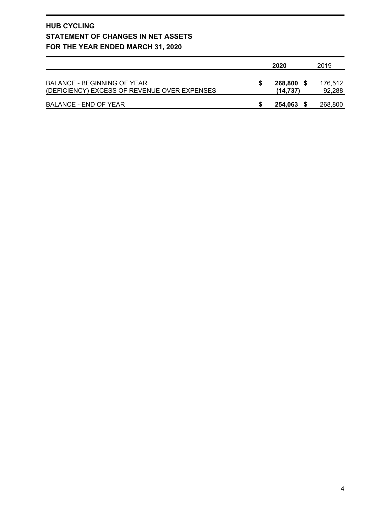# **HUB CYCLING STATEMENT OF CHANGES IN NET ASSETS FOR THE YEAR ENDED MARCH 31, 2020**

|                                                                             | 2020 |                      |  | 2019              |  |
|-----------------------------------------------------------------------------|------|----------------------|--|-------------------|--|
| BALANCE - BEGINNING OF YEAR<br>(DEFICIENCY) EXCESS OF REVENUE OVER EXPENSES |      | 268,800<br>(14, 737) |  | 176,512<br>92,288 |  |
| BALANCE - END OF YEAR                                                       |      | 254.063              |  | 268,800           |  |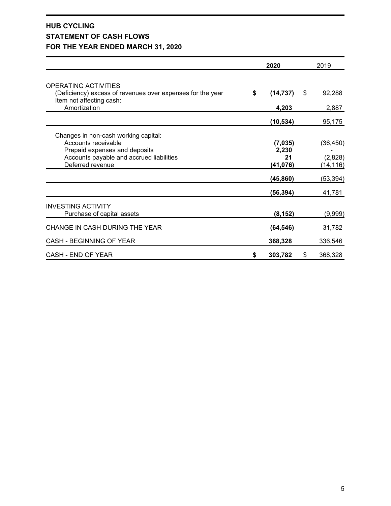# **HUB CYCLING STATEMENT OF CASH FLOWS FOR THE YEAR ENDED MARCH 31, 2020**

|                                                                                                                       | 2020            |    | 2019      |  |
|-----------------------------------------------------------------------------------------------------------------------|-----------------|----|-----------|--|
|                                                                                                                       |                 |    |           |  |
| <b>OPERATING ACTIVITIES</b><br>(Deficiency) excess of revenues over expenses for the year<br>Item not affecting cash: | \$<br>(14, 737) | \$ | 92,288    |  |
| Amortization                                                                                                          | 4,203           |    | 2,887     |  |
|                                                                                                                       | (10, 534)       |    | 95,175    |  |
| Changes in non-cash working capital:                                                                                  |                 |    |           |  |
| Accounts receivable                                                                                                   | (7,035)         |    | (36, 450) |  |
| Prepaid expenses and deposits                                                                                         | 2,230           |    |           |  |
| Accounts payable and accrued liabilities                                                                              | 21              |    | (2,828)   |  |
| Deferred revenue                                                                                                      | (41,076)        |    | (14,116)  |  |
|                                                                                                                       | (45,860)        |    | (53, 394) |  |
|                                                                                                                       | (56,394)        |    | 41,781    |  |
| <b>INVESTING ACTIVITY</b>                                                                                             |                 |    |           |  |
| Purchase of capital assets                                                                                            | (8, 152)        |    | (9,999)   |  |
| CHANGE IN CASH DURING THE YEAR                                                                                        | (64, 546)       |    | 31,782    |  |
| CASH - BEGINNING OF YEAR                                                                                              | 368,328         |    | 336,546   |  |
| CASH - END OF YEAR                                                                                                    | \$<br>303,782   | \$ | 368,328   |  |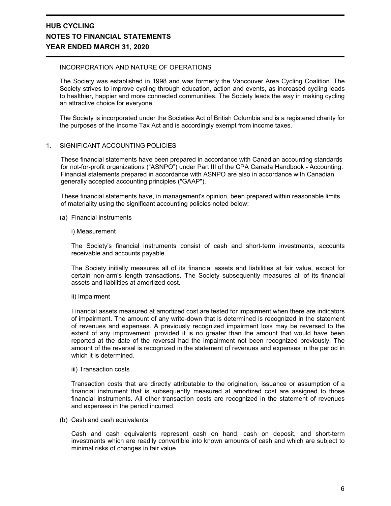#### INCORPORATION AND NATURE OF OPERATIONS

The Society was established in 1998 and was formerly the Vancouver Area Cycling Coalition. The Society strives to improve cycling through education, action and events, as increased cycling leads to healthier, happier and more connected communities. The Society leads the way in making cycling an attractive choice for everyone.

The Society is incorporated under the Societies Act of British Columbia and is a registered charity for the purposes of the Income Tax Act and is accordingly exempt from income taxes.

#### 1. SIGNIFICANT ACCOUNTING POLICIES

These financial statements have been prepared in accordance with Canadian accounting standards for not-for-profit organizations ("ASNPO") under Part III of the CPA Canada Handbook - Accounting. Financial statements prepared in accordance with ASNPO are also in accordance with Canadian generally accepted accounting principles ("GAAP").

These financial statements have, in management's opinion, been prepared within reasonable limits of materiality using the significant accounting policies noted below:

(a) Financial instruments

#### i) Measurement

The Society's financial instruments consist of cash and short-term investments, accounts receivable and accounts payable.

The Society initially measures all of its financial assets and liabilities at fair value, except for certain non-arm's length transactions. The Society subsequently measures all of its financial assets and liabilities at amortized cost.

#### ii) Impairment

Financial assets measured at amortized cost are tested for impairment when there are indicators of impairment. The amount of any write-down that is determined is recognized in the statement of revenues and expenses. A previously recognized impairment loss may be reversed to the extent of any improvement, provided it is no greater than the amount that would have been reported at the date of the reversal had the impairment not been recognized previously. The amount of the reversal is recognized in the statement of revenues and expenses in the period in which it is determined.

#### iii) Transaction costs

Transaction costs that are directly attributable to the origination, issuance or assumption of a financial instrument that is subsequently measured at amortized cost are assigned to those financial instruments. All other transaction costs are recognized in the statement of revenues and expenses in the period incurred.

#### (b) Cash and cash equivalents

Cash and cash equivalents represent cash on hand, cash on deposit, and short-term investments which are readily convertible into known amounts of cash and which are subject to minimal risks of changes in fair value.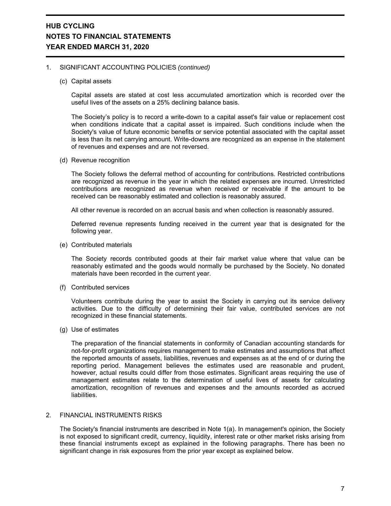# **HUB CYCLING NOTES TO FINANCIAL STATEMENTS YEAR ENDED MARCH 31, 2020**

#### 1. SIGNIFICANT ACCOUNTING POLICIES *(continued)*

(c) Capital assets

Capital assets are stated at cost less accumulated amortization which is recorded over the useful lives of the assets on a 25% declining balance basis.

The Society's policy is to record a write-down to a capital asset's fair value or replacement cost when conditions indicate that a capital asset is impaired. Such conditions include when the Society's value of future economic benefits or service potential associated with the capital asset is less than its net carrying amount. Write-downs are recognized as an expense in the statement of revenues and expenses and are not reversed.

(d) Revenue recognition

The Society follows the deferral method of accounting for contributions. Restricted contributions are recognized as revenue in the year in which the related expenses are incurred. Unrestricted contributions are recognized as revenue when received or receivable if the amount to be received can be reasonably estimated and collection is reasonably assured.

All other revenue is recorded on an accrual basis and when collection is reasonably assured.

Deferred revenue represents funding received in the current year that is designated for the following year.

(e) Contributed materials

The Society records contributed goods at their fair market value where that value can be reasonably estimated and the goods would normally be purchased by the Society. No donated materials have been recorded in the current year.

(f) Contributed services

Volunteers contribute during the year to assist the Society in carrying out its service delivery activities. Due to the difficulty of determining their fair value, contributed services are not recognized in these financial statements.

(g) Use of estimates

The preparation of the financial statements in conformity of Canadian accounting standards for not-for-profit organizations requires management to make estimates and assumptions that affect the reported amounts of assets, liabilities, revenues and expenses as at the end of or during the reporting period. Management believes the estimates used are reasonable and prudent, however, actual results could differ from those estimates. Significant areas requiring the use of management estimates relate to the determination of useful lives of assets for calculating amortization, recognition of revenues and expenses and the amounts recorded as accrued liabilities.

### 2. FINANCIAL INSTRUMENTS RISKS

The Society's financial instruments are described in Note 1(a). In management's opinion, the Society is not exposed to significant credit, currency, liquidity, interest rate or other market risks arising from these financial instruments except as explained in the following paragraphs. There has been no significant change in risk exposures from the prior year except as explained below.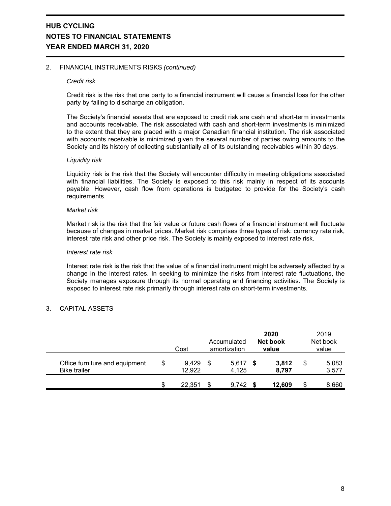# **HUB CYCLING NOTES TO FINANCIAL STATEMENTS YEAR ENDED MARCH 31, 2020**

#### 2. FINANCIAL INSTRUMENTS RISKS *(continued)*

#### *Credit risk*

Credit risk is the risk that one party to a financial instrument will cause a financial loss for the other party by failing to discharge an obligation.

The Society's financial assets that are exposed to credit risk are cash and short-term investments and accounts receivable. The risk associated with cash and short-term investments is minimized to the extent that they are placed with a major Canadian financial institution. The risk associated with accounts receivable is minimized given the several number of parties owing amounts to the Society and its history of collecting substantially all of its outstanding receivables within 30 days.

#### *Liquidity risk*

Liquidity risk is the risk that the Society will encounter difficulty in meeting obligations associated with financial liabilities. The Society is exposed to this risk mainly in respect of its accounts payable. However, cash flow from operations is budgeted to provide for the Society's cash requirements.

#### *Market risk*

Market risk is the risk that the fair value or future cash flows of a financial instrument will fluctuate because of changes in market prices. Market risk comprises three types of risk: currency rate risk, interest rate risk and other price risk. The Society is mainly exposed to interest rate risk.

#### *Interest rate risk*

Interest rate risk is the risk that the value of a financial instrument might be adversely affected by a change in the interest rates. In seeking to minimize the risks from interest rate fluctuations, the Society manages exposure through its normal operating and financing activities. The Society is exposed to interest rate risk primarily through interest rate on short-term investments.

#### 3. CAPITAL ASSETS

|                                                       | Cost                  |   | Accumulated<br>amortization | 2020<br>Net book<br>value |   | 2019<br>Net book<br>value |
|-------------------------------------------------------|-----------------------|---|-----------------------------|---------------------------|---|---------------------------|
| Office furniture and equipment<br><b>Bike trailer</b> | \$<br>9.429<br>12,922 | S | 5,617<br>4,125              | 3.812<br>8.797            | S | 5,083<br>3,577            |
|                                                       | 22.351                | S | 9.742                       | 12.609                    | S | 8,660                     |